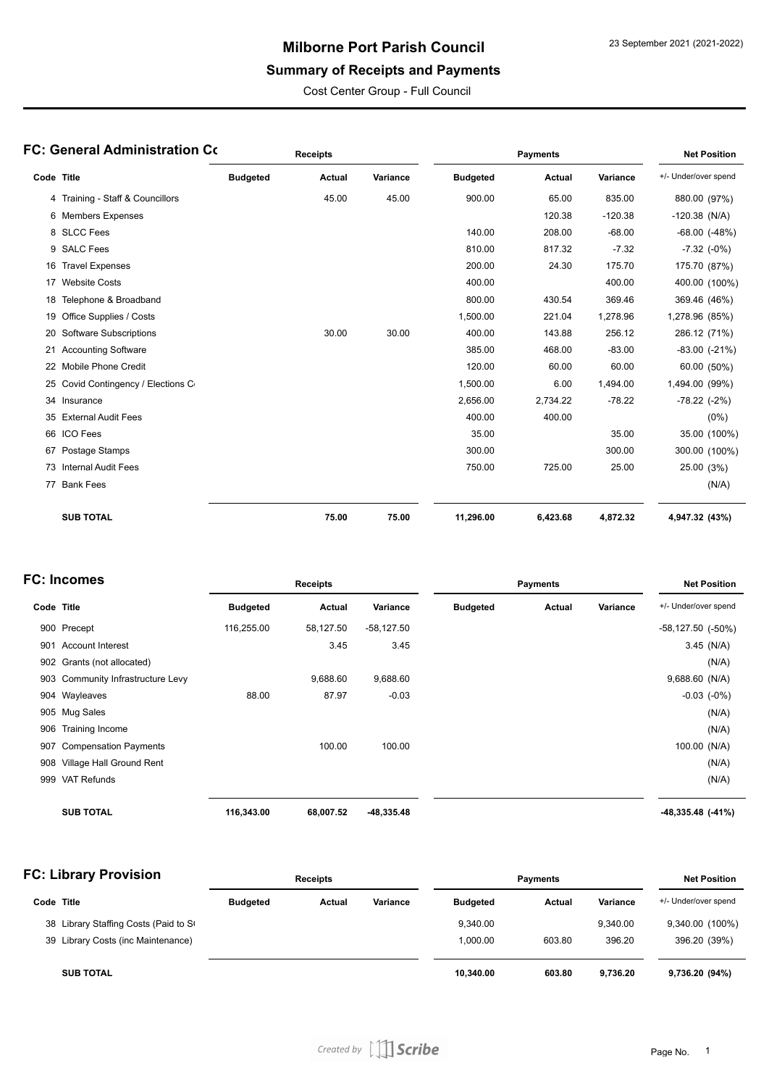# **Milborne Port Parish Council**

# **Summary of Receipts and Payments**

Cost Center Group - Full Council

| FC: General Administration Co |                                  | <b>Receipts</b> |        |          | <b>Payments</b> |          |           | <b>Net Position</b>  |
|-------------------------------|----------------------------------|-----------------|--------|----------|-----------------|----------|-----------|----------------------|
| Code Title                    |                                  | <b>Budgeted</b> | Actual | Variance | <b>Budgeted</b> | Actual   | Variance  | +/- Under/over spend |
|                               | 4 Training - Staff & Councillors |                 | 45.00  | 45.00    | 900.00          | 65.00    | 835.00    | 880.00 (97%)         |
|                               | 6 Members Expenses               |                 |        |          |                 | 120.38   | $-120.38$ | $-120.38$ (N/A)      |
|                               | 8 SLCC Fees                      |                 |        |          | 140.00          | 208.00   | $-68.00$  | $-68.00$ $(-48%)$    |
|                               | 9 SALC Fees                      |                 |        |          | 810.00          | 817.32   | $-7.32$   | $-7.32$ $(-0%)$      |
| 16                            | <b>Travel Expenses</b>           |                 |        |          | 200.00          | 24.30    | 175.70    | 175.70 (87%)         |
|                               | 17 Website Costs                 |                 |        |          | 400.00          |          | 400.00    | 400.00 (100%)        |
| 18                            | Telephone & Broadband            |                 |        |          | 800.00          | 430.54   | 369.46    | 369.46 (46%)         |
| 19                            | Office Supplies / Costs          |                 |        |          | 1,500.00        | 221.04   | 1,278.96  | 1,278.96 (85%)       |
|                               | 20 Software Subscriptions        |                 | 30.00  | 30.00    | 400.00          | 143.88   | 256.12    | 286.12 (71%)         |
|                               | 21 Accounting Software           |                 |        |          | 385.00          | 468.00   | $-83.00$  | $-83.00$ $(-21\%)$   |
|                               | 22 Mobile Phone Credit           |                 |        |          | 120.00          | 60.00    | 60.00     | 60.00 (50%)          |
| 25                            | Covid Contingency / Elections C  |                 |        |          | 1,500.00        | 6.00     | 1,494.00  | 1,494.00 (99%)       |
|                               | 34 Insurance                     |                 |        |          | 2,656.00        | 2,734.22 | $-78.22$  | $-78.22$ $(-2%)$     |
| 35                            | <b>External Audit Fees</b>       |                 |        |          | 400.00          | 400.00   |           | $(0\%)$              |
|                               | 66 ICO Fees                      |                 |        |          | 35.00           |          | 35.00     | 35.00 (100%)         |
|                               | 67 Postage Stamps                |                 |        |          | 300.00          |          | 300.00    | 300.00 (100%)        |
|                               | 73 Internal Audit Fees           |                 |        |          | 750.00          | 725.00   | 25.00     | 25.00 (3%)           |
|                               | 77 Bank Fees                     |                 |        |          |                 |          |           | (N/A)                |
|                               | <b>SUB TOTAL</b>                 |                 | 75.00  | 75.00    | 11,296.00       | 6,423.68 | 4,872.32  | 4,947.32 (43%)       |

| <b>FC: Incomes</b> |                               | <b>Receipts</b> |           |              | <b>Payments</b> |        |          | <b>Net Position</b>      |
|--------------------|-------------------------------|-----------------|-----------|--------------|-----------------|--------|----------|--------------------------|
| Code Title         |                               | <b>Budgeted</b> | Actual    | Variance     | <b>Budgeted</b> | Actual | Variance | +/- Under/over spend     |
|                    | 900 Precept                   | 116,255.00      | 58,127.50 | $-58,127.50$ |                 |        |          | $-58,127.50$ $(-50\%)$   |
| 901                | <b>Account Interest</b>       |                 | 3.45      | 3.45         |                 |        |          | $3.45$ (N/A)             |
|                    | 902 Grants (not allocated)    |                 |           |              |                 |        |          | (N/A)                    |
| 903                | Community Infrastructure Levy |                 | 9,688.60  | 9,688.60     |                 |        |          | 9,688.60 (N/A)           |
|                    | 904 Wayleaves                 | 88.00           | 87.97     | $-0.03$      |                 |        |          | $-0.03$ $(-0\%)$         |
|                    | 905 Mug Sales                 |                 |           |              |                 |        |          | (N/A)                    |
| 906                | Training Income               |                 |           |              |                 |        |          | (N/A)                    |
| 907                | <b>Compensation Payments</b>  |                 | 100.00    | 100.00       |                 |        |          | 100.00 (N/A)             |
| 908                | Village Hall Ground Rent      |                 |           |              |                 |        |          | (N/A)                    |
| 999                | <b>VAT Refunds</b>            |                 |           |              |                 |        |          | (N/A)                    |
|                    | <b>SUB TOTAL</b>              | 116,343.00      | 68,007.52 | $-48,335.48$ |                 |        |          | $-48,335.48$ ( $-41\%$ ) |

| <b>FC: Library Provision</b> |                                       | <b>Receipts</b> |        |          | <b>Payments</b> |        |          | <b>Net Position</b>  |  |
|------------------------------|---------------------------------------|-----------------|--------|----------|-----------------|--------|----------|----------------------|--|
| Code Title                   |                                       | <b>Budgeted</b> | Actual | Variance | <b>Budgeted</b> | Actual | Variance | +/- Under/over spend |  |
|                              | 38 Library Staffing Costs (Paid to St |                 |        |          | 9.340.00        |        | 9.340.00 | 9,340.00 (100%)      |  |
|                              | 39 Library Costs (inc Maintenance)    |                 |        |          | 1.000.00        | 603.80 | 396.20   | 396.20 (39%)         |  |
|                              | <b>SUB TOTAL</b>                      |                 |        |          | 10,340.00       | 603.80 | 9.736.20 | 9,736.20 (94%)       |  |